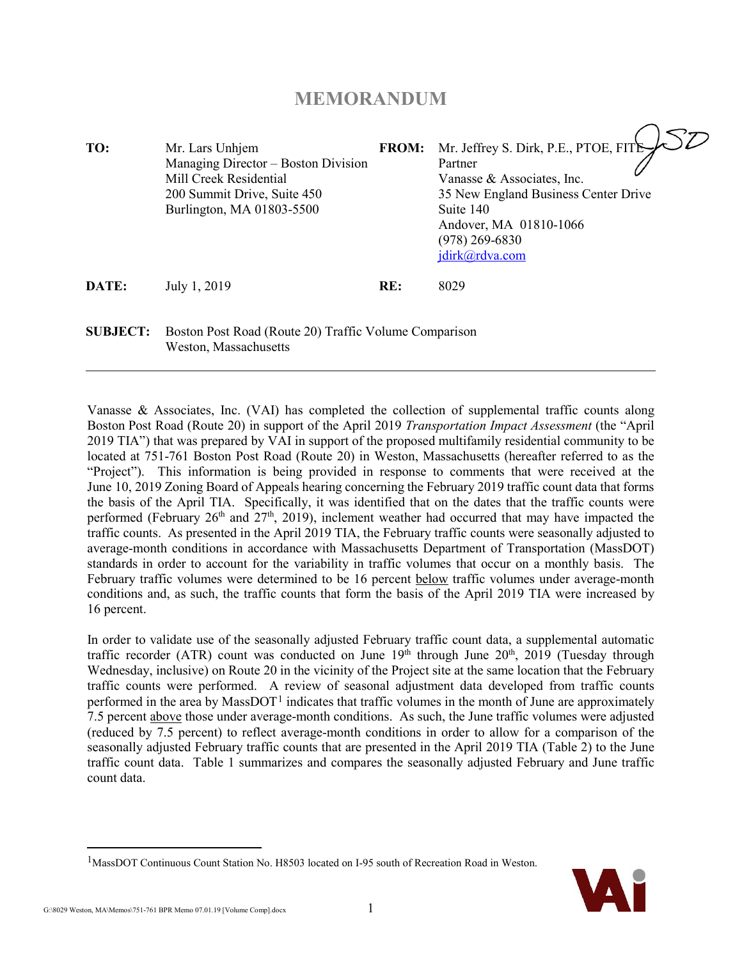## **MEMORANDUM**

| TO:             | Mr. Lars Unhjem<br>Managing Director – Boston Division<br>Mill Creek Residential<br>200 Summit Drive, Suite 450<br>Burlington, MA 01803-5500 | <b>FROM:</b> | Mr. Jeffrey S. Dirk, P.E., PTOE, FITE<br>Partner<br>Vanasse & Associates, Inc.<br>35 New England Business Center Drive<br>Suite 140<br>Andover, MA 01810-1066<br>(978) 269-6830<br>jdirk@rdva.com |
|-----------------|----------------------------------------------------------------------------------------------------------------------------------------------|--------------|---------------------------------------------------------------------------------------------------------------------------------------------------------------------------------------------------|
| DATE:           | July 1, 2019                                                                                                                                 | RE:          | 8029                                                                                                                                                                                              |
| <b>SUBJECT:</b> | Boston Post Road (Route 20) Traffic Volume Comparison                                                                                        |              |                                                                                                                                                                                                   |

Weston, Massachusetts

Vanasse & Associates, Inc. (VAI) has completed the collection of supplemental traffic counts along Boston Post Road (Route 20) in support of the April 2019 *Transportation Impact Assessment* (the "April 2019 TIA") that was prepared by VAI in support of the proposed multifamily residential community to be located at 751-761 Boston Post Road (Route 20) in Weston, Massachusetts (hereafter referred to as the "Project"). This information is being provided in response to comments that were received at the June 10, 2019 Zoning Board of Appeals hearing concerning the February 2019 traffic count data that forms the basis of the April TIA. Specifically, it was identified that on the dates that the traffic counts were performed (February 26<sup>th</sup> and  $27<sup>th</sup>$ , 2019), inclement weather had occurred that may have impacted the traffic counts. As presented in the April 2019 TIA, the February traffic counts were seasonally adjusted to average-month conditions in accordance with Massachusetts Department of Transportation (MassDOT) standards in order to account for the variability in traffic volumes that occur on a monthly basis. The February traffic volumes were determined to be 16 percent below traffic volumes under average-month conditions and, as such, the traffic counts that form the basis of the April 2019 TIA were increased by 16 percent.

In order to validate use of the seasonally adjusted February traffic count data, a supplemental automatic traffic recorder (ATR) count was conducted on June  $19<sup>th</sup>$  through June  $20<sup>th</sup>$ ,  $2019$  (Tuesday through Wednesday, inclusive) on Route 20 in the vicinity of the Project site at the same location that the February traffic counts were performed. A review of seasonal adjustment data developed from traffic counts performed in the area by MassDOT<sup>[1](#page-0-0)</sup> indicates that traffic volumes in the month of June are approximately 7.5 percent above those under average-month conditions. As such, the June traffic volumes were adjusted (reduced by 7.5 percent) to reflect average-month conditions in order to allow for a comparison of the seasonally adjusted February traffic counts that are presented in the April 2019 TIA (Table 2) to the June traffic count data. Table 1 summarizes and compares the seasonally adjusted February and June traffic count data.

<span id="page-0-0"></span><sup>&</sup>lt;sup>1</sup>MassDOT Continuous Count Station No. H8503 located on I-95 south of Recreation Road in Weston.



 $\overline{a}$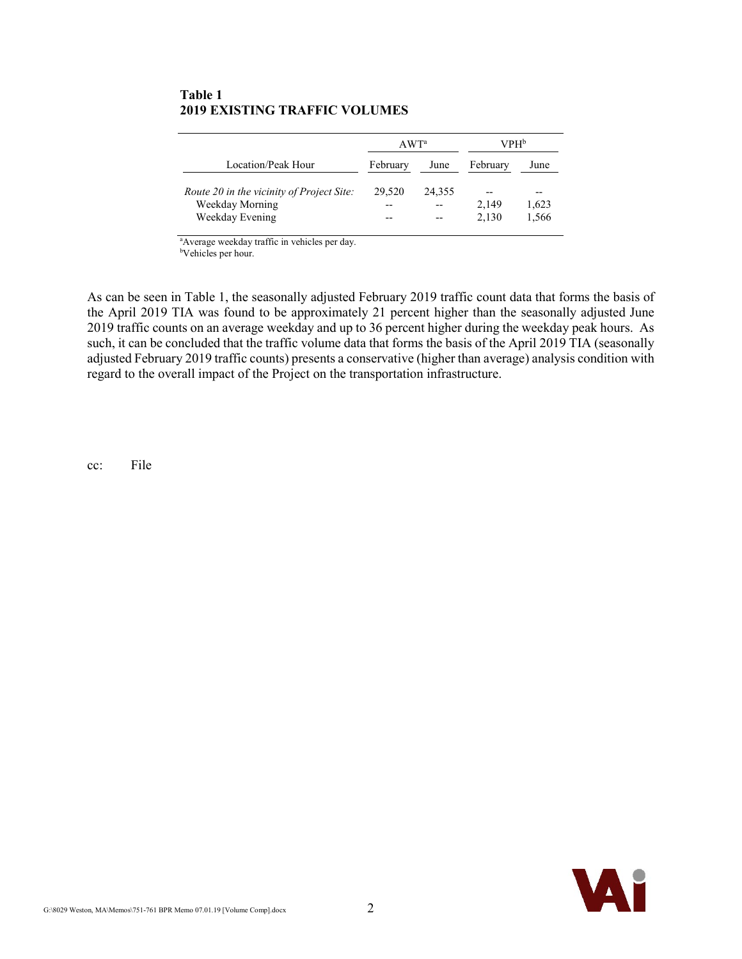### **Table 1 2019 EXISTING TRAFFIC VOLUMES**

|                                                                                 | AWT <sup>a</sup> |              | VPH <sup>b</sup>     |                        |  |  |  |
|---------------------------------------------------------------------------------|------------------|--------------|----------------------|------------------------|--|--|--|
| Location/Peak Hour                                                              | February         | June         | February             | June                   |  |  |  |
| Route 20 in the vicinity of Project Site:<br>Weekday Morning<br>Weekday Evening | 29,520           | 24,355<br>-- | --<br>2.149<br>2.130 | $ -$<br>1,623<br>1,566 |  |  |  |

a Average weekday traffic in vehicles per day.

b Vehicles per hour.

As can be seen in Table 1, the seasonally adjusted February 2019 traffic count data that forms the basis of the April 2019 TIA was found to be approximately 21 percent higher than the seasonally adjusted June 2019 traffic counts on an average weekday and up to 36 percent higher during the weekday peak hours. As such, it can be concluded that the traffic volume data that forms the basis of the April 2019 TIA (seasonally adjusted February 2019 traffic counts) presents a conservative (higher than average) analysis condition with regard to the overall impact of the Project on the transportation infrastructure.

cc: File

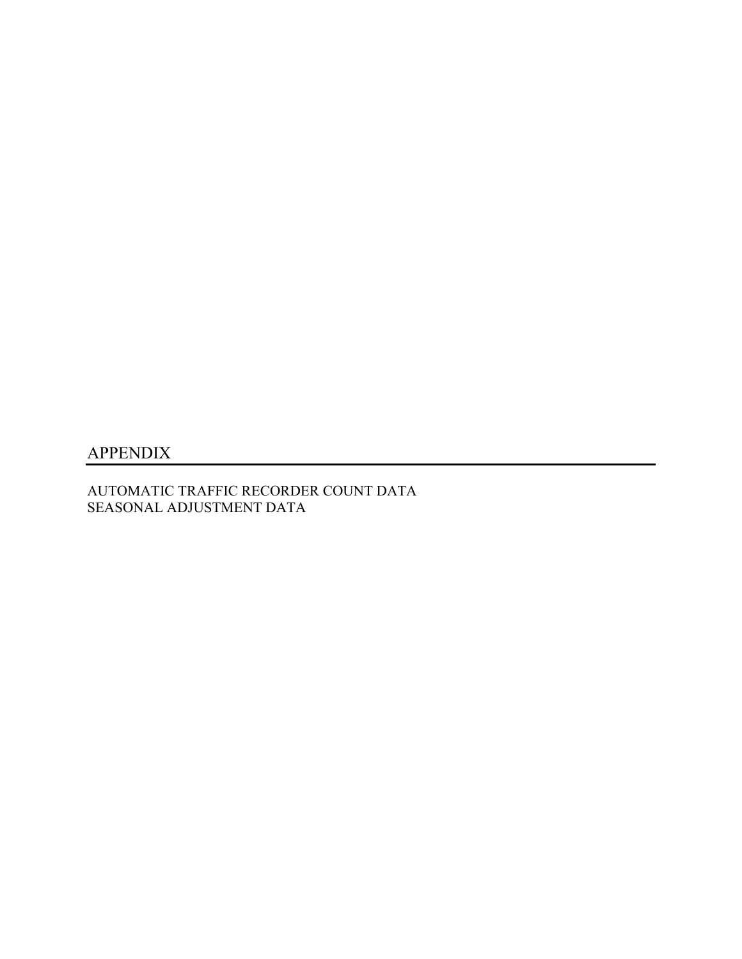## APPENDIX

AUTOMATIC TRAFFIC RECORDER COUNT DATA SEASONAL ADJUSTMENT DATA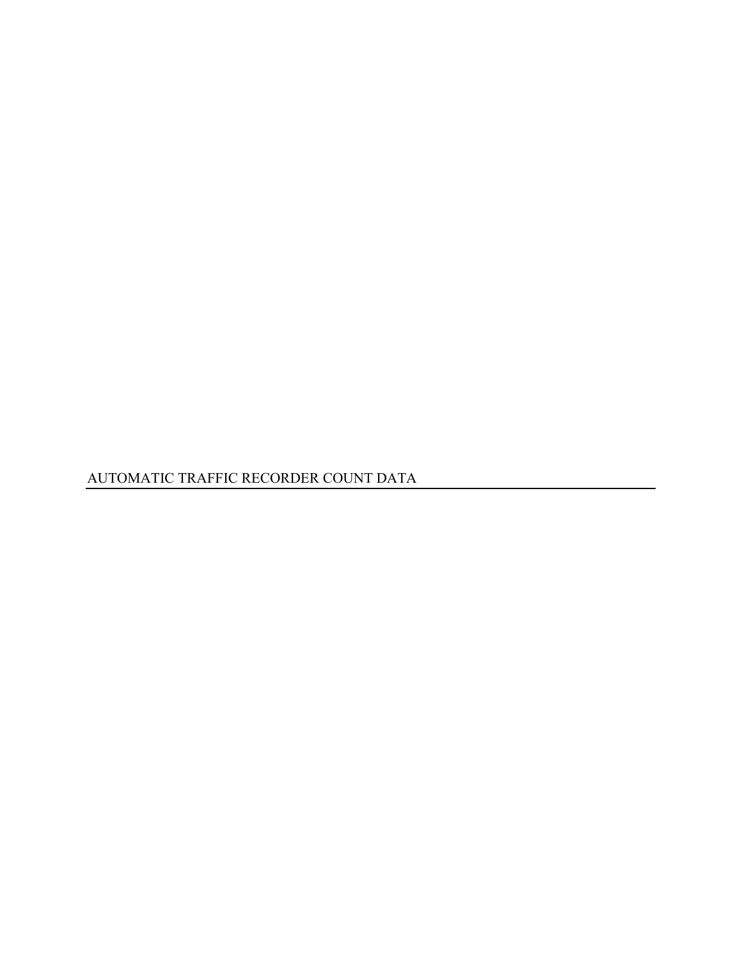AUTOMATIC TRAFFIC RECORDER COUNT DATA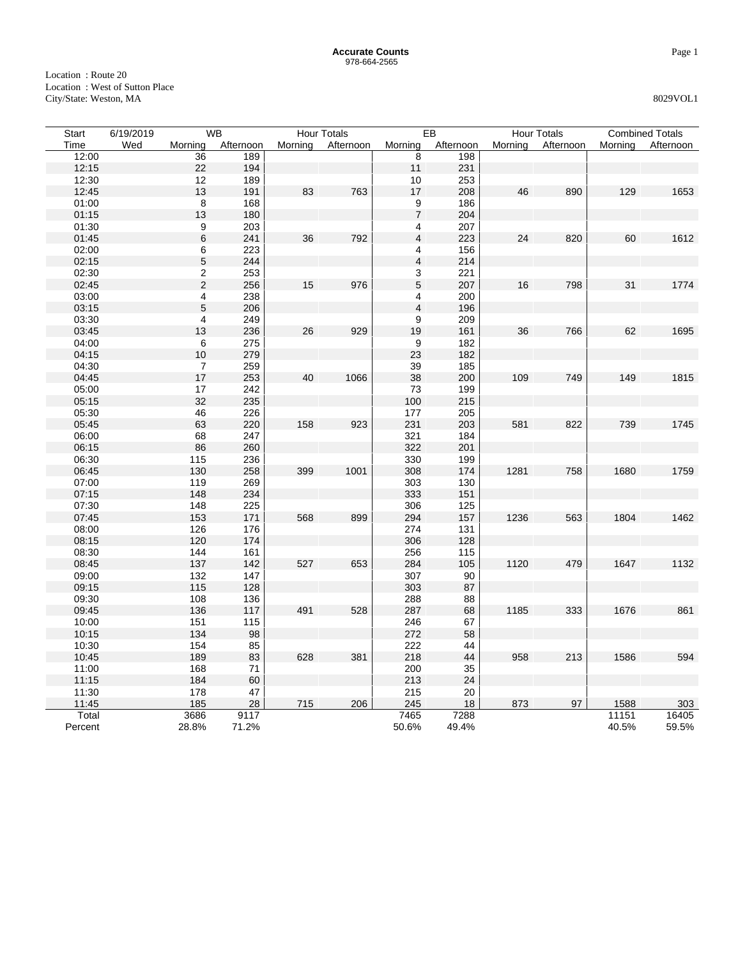| <b>Start</b> | 6/19/2019 |                                        | <b>WB</b> |         | <b>Hour Totals</b> |                           | EB        |         | <b>Hour Totals</b> | <b>Combined Totals</b> |           |  |
|--------------|-----------|----------------------------------------|-----------|---------|--------------------|---------------------------|-----------|---------|--------------------|------------------------|-----------|--|
| Time         | Wed       | Morning                                | Afternoon | Morning | Afternoon          | Morning                   | Afternoon | Morning | Afternoon          | Morning                | Afternoon |  |
| 12:00        |           | 36                                     | 189       |         |                    | 8                         | 198       |         |                    |                        |           |  |
| 12:15        |           | 22                                     | 194       |         |                    | 11                        | 231       |         |                    |                        |           |  |
| 12:30        |           | 12                                     | 189       |         |                    | $10$                      | 253       |         |                    |                        |           |  |
| 12:45        |           | 13                                     | 191       | 83      | 763                | 17                        | 208       | 46      | 890                | 129                    | 1653      |  |
| 01:00        |           | $\begin{array}{c} 8 \\ 13 \end{array}$ | 168       |         |                    | $\boldsymbol{9}$          | 186       |         |                    |                        |           |  |
| 01:15        |           |                                        | 180       |         |                    | $\overline{7}$            | 204       |         |                    |                        |           |  |
| 01:30        |           |                                        | 203       |         |                    | $\overline{\mathbf{4}}$   | 207       |         |                    |                        |           |  |
| 01:45        |           | 9<br>6                                 | 241       | 36      | 792                | $\overline{\mathbf{4}}$   | 223       | 24      | 820                | 60                     | 1612      |  |
| 02:00        |           | 6                                      | 223       |         |                    | $\overline{\mathbf{4}}$   | 156       |         |                    |                        |           |  |
| 02:15        |           | 5                                      | 244       |         |                    | $\overline{4}$            | 214       |         |                    |                        |           |  |
| 02:30        |           | $\frac{2}{2}$                          | 253       |         |                    | $\ensuremath{\mathsf{3}}$ | 221       |         |                    |                        |           |  |
| 02:45        |           |                                        | 256       | 15      | 976                | $\sqrt{5}$                | 207       | 16      | 798                | 31                     | 1774      |  |
| 03:00        |           | $\overline{\mathbf{4}}$                | 238       |         |                    | $\overline{\mathbf{4}}$   | 200       |         |                    |                        |           |  |
| 03:15        |           | 5                                      | 206       |         |                    | $\overline{\mathbf{4}}$   | 196       |         |                    |                        |           |  |
| 03:30        |           | $\overline{\mathcal{A}}$               | 249       |         |                    | $\boldsymbol{9}$          | 209       |         |                    |                        |           |  |
| 03:45        |           | 13                                     | 236       | 26      | 929                | 19                        | 161       | 36      | 766                | 62                     | 1695      |  |
| 04:00        |           | 6                                      | 275       |         |                    | 9                         | 182       |         |                    |                        |           |  |
| 04:15        |           | $10$                                   | 279       |         |                    | 23                        | 182       |         |                    |                        |           |  |
| 04:30        |           |                                        | 259       |         |                    | 39                        | 185       |         |                    |                        |           |  |
| 04:45        |           | $\frac{7}{17}$                         | 253       | 40      | 1066               | 38                        | 200       | 109     | 749                | 149                    | 1815      |  |
| 05:00        |           | 17                                     | 242       |         |                    | 73                        | 199       |         |                    |                        |           |  |
| 05:15        |           | 32                                     | 235       |         |                    | 100                       | 215       |         |                    |                        |           |  |
| 05:30        |           | 46                                     | 226       |         |                    | 177                       | 205       |         |                    |                        |           |  |
| 05:45        |           | 63                                     | 220       | 158     | 923                | 231                       | 203       | 581     | 822                | 739                    | 1745      |  |
| 06:00        |           | 68                                     | 247       |         |                    | 321                       | 184       |         |                    |                        |           |  |
| 06:15        |           | 86                                     | 260       |         |                    | 322                       | 201       |         |                    |                        |           |  |
| 06:30        |           | 115                                    | 236       |         |                    | 330                       | 199       |         |                    |                        |           |  |
| 06:45        |           | 130                                    | 258       | 399     | 1001               | 308                       | 174       | 1281    | 758                | 1680                   | 1759      |  |
| 07:00        |           | 119                                    | 269       |         |                    | 303                       | 130       |         |                    |                        |           |  |
| 07:15        |           | 148                                    | 234       |         |                    | 333                       | 151       |         |                    |                        |           |  |
| 07:30        |           | 148                                    | 225       |         |                    | 306                       | 125       |         |                    |                        |           |  |
| 07:45        |           | 153                                    | 171       | 568     | 899                | 294                       | 157       | 1236    | 563                | 1804                   | 1462      |  |
| 08:00        |           | 126                                    | 176       |         |                    | 274                       | 131       |         |                    |                        |           |  |
| 08:15        |           | 120                                    | 174       |         |                    | 306                       | 128       |         |                    |                        |           |  |
| 08:30        |           | 144                                    | 161       |         |                    | 256                       | 115       |         |                    |                        |           |  |
| 08:45        |           | 137                                    | 142       | 527     | 653                | 284                       | 105       | 1120    | 479                | 1647                   | 1132      |  |
| 09:00        |           | 132                                    | 147       |         |                    | 307                       | 90        |         |                    |                        |           |  |
| 09:15        |           | 115                                    | 128       |         |                    | 303                       | 87        |         |                    |                        |           |  |
| 09:30        |           | 108                                    | 136       |         |                    | 288                       | 88        |         |                    |                        |           |  |
| 09:45        |           | 136                                    | 117       | 491     | 528                | 287                       | 68        | 1185    | 333                | 1676                   | 861       |  |
| 10:00        |           | 151                                    | 115       |         |                    | 246                       | 67        |         |                    |                        |           |  |
| 10:15        |           | 134                                    | 98        |         |                    | 272                       | 58        |         |                    |                        |           |  |
| 10:30        |           | 154                                    | 85        |         |                    | 222                       | 44        |         |                    |                        |           |  |
| 10:45        |           | 189                                    | 83        | 628     | 381                | 218                       | 44        | 958     | 213                | 1586                   | 594       |  |
| 11:00        |           | 168                                    | 71        |         |                    | 200                       | 35        |         |                    |                        |           |  |
| 11:15        |           | 184                                    | 60        |         |                    | 213                       | 24        |         |                    |                        |           |  |
| 11:30        |           | 178                                    | 47        |         |                    | 215                       | 20        |         |                    |                        |           |  |
| 11:45        |           | 185                                    | 28        | 715     | 206                | 245                       | 18        | 873     | 97                 | 1588                   | 303       |  |
| Total        |           | 3686                                   | 9117      |         |                    | 7465                      | 7288      |         |                    | 11151                  | 16405     |  |
| Percent      |           | 28.8%                                  | 71.2%     |         |                    | 50.6%                     | 49.4%     |         |                    | 40.5%                  | 59.5%     |  |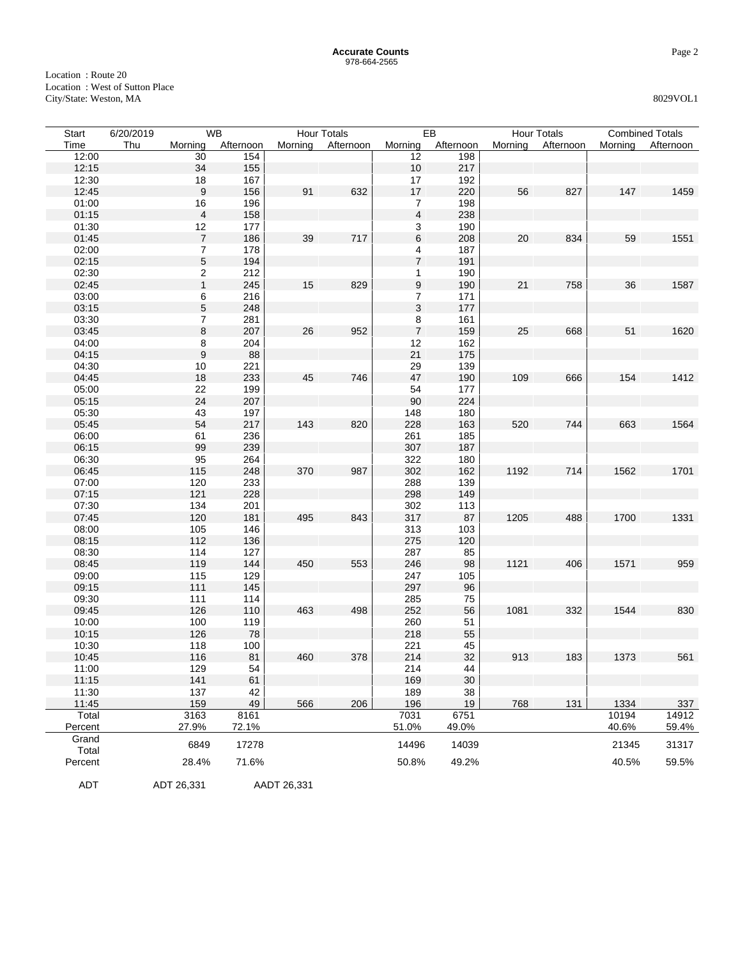| Start   | 6/20/2019 | <b>WB</b>               |           |             | <b>Hour Totals</b> |                         | EB        |      | <b>Hour Totals</b> |         | <b>Combined Totals</b> |
|---------|-----------|-------------------------|-----------|-------------|--------------------|-------------------------|-----------|------|--------------------|---------|------------------------|
| Time    | Thu       | Morning                 | Afternoon | Morning     | Afternoon          | Morning                 | Afternoon |      | Morning Afternoon  | Mornina | Afternoon              |
| 12:00   |           | 30                      | 154       |             |                    | 12                      | 198       |      |                    |         |                        |
| 12:15   |           | 34                      | 155       |             |                    | $10$                    | 217       |      |                    |         |                        |
| 12:30   |           | 18                      | 167       |             |                    | 17                      | 192       |      |                    |         |                        |
| 12:45   |           | $\boldsymbol{9}$        | 156       | 91          | 632                | $17$                    | 220       | 56   | 827                | 147     | 1459                   |
| 01:00   |           | 16                      | 196       |             |                    | $\overline{7}$          | 198       |      |                    |         |                        |
| 01:15   |           | $\overline{\mathbf{4}}$ | 158       |             |                    | $\overline{\mathbf{4}}$ | 238       |      |                    |         |                        |
| 01:30   |           | 12                      | 177       |             |                    | 3                       | 190       |      |                    |         |                        |
| 01:45   |           | $\boldsymbol{7}$        | 186       | 39          | 717                | 6                       | 208       | 20   | 834                | 59      | 1551                   |
| 02:00   |           |                         | 178       |             |                    | 4                       | 187       |      |                    |         |                        |
| 02:15   |           | $\frac{7}{5}$           | 194       |             |                    | $\overline{7}$          | 191       |      |                    |         |                        |
| 02:30   |           | $\overline{\mathbf{c}}$ | 212       |             |                    | 1                       | 190       |      |                    |         |                        |
| 02:45   |           | $\overline{1}$          | 245       | 15          | 829                | $\boldsymbol{9}$        | 190       | 21   | 758                | 36      | 1587                   |
| 03:00   |           | 6                       | 216       |             |                    | $\overline{7}$          | 171       |      |                    |         |                        |
| 03:15   |           | 5                       | 248       |             |                    | $\mathfrak{S}$          | 177       |      |                    |         |                        |
| 03:30   |           | $\overline{7}$          | 281       |             |                    | 8                       | 161       |      |                    |         |                        |
| 03:45   |           | 8                       | 207       | 26          | 952                | $\overline{7}$          | 159       | 25   | 668                | 51      | 1620                   |
| 04:00   |           | 8                       | 204       |             |                    | 12                      | 162       |      |                    |         |                        |
| 04:15   |           | $\boldsymbol{9}$        | 88        |             |                    | 21                      | 175       |      |                    |         |                        |
| 04:30   |           | $10$                    | 221       |             |                    | 29                      | 139       |      |                    |         |                        |
| 04:45   |           | 18                      | 233       | 45          | 746                | 47                      | 190       | 109  | 666                | 154     | 1412                   |
| 05:00   |           | 22                      | 199       |             |                    | 54                      | 177       |      |                    |         |                        |
| 05:15   |           | 24                      | 207       |             |                    | 90                      | 224       |      |                    |         |                        |
| 05:30   |           | 43                      | 197       |             |                    | 148                     | 180       |      |                    |         |                        |
| 05:45   |           | 54                      | 217       | 143         | 820                | 228                     | 163       | 520  | 744                | 663     | 1564                   |
| 06:00   |           | 61                      | 236       |             |                    | 261                     | 185       |      |                    |         |                        |
| 06:15   |           | 99                      | 239       |             |                    | 307                     | 187       |      |                    |         |                        |
| 06:30   |           | 95                      | 264       |             |                    | 322                     | 180       |      |                    |         |                        |
| 06:45   |           | 115                     | 248       | 370         | 987                | 302                     | 162       | 1192 | 714                | 1562    | 1701                   |
| 07:00   |           | 120                     | 233       |             |                    | 288                     | 139       |      |                    |         |                        |
| 07:15   |           | 121                     | 228       |             |                    | 298                     | 149       |      |                    |         |                        |
| 07:30   |           | 134                     | 201       |             |                    | 302                     | 113       |      |                    |         |                        |
| 07:45   |           | 120                     | 181       | 495         | 843                | 317                     | 87        | 1205 | 488                | 1700    | 1331                   |
| 08:00   |           | 105                     | 146       |             |                    | 313                     | 103       |      |                    |         |                        |
| 08:15   |           | 112                     | 136       |             |                    | 275                     | 120       |      |                    |         |                        |
| 08:30   |           | 114                     | 127       |             |                    | 287                     | 85        |      |                    |         |                        |
| 08:45   |           | 119                     | 144       | 450         | 553                | 246                     | 98        | 1121 | 406                | 1571    | 959                    |
| 09:00   |           | 115                     | 129       |             |                    | 247                     | 105       |      |                    |         |                        |
| 09:15   |           | 111                     | 145       |             |                    | 297                     | 96        |      |                    |         |                        |
| 09:30   |           | 111                     | 114       |             |                    | 285                     | 75        |      |                    |         |                        |
| 09:45   |           | 126                     | 110       | 463         | 498                | 252                     | 56        | 1081 | 332                | 1544    | 830                    |
| 10:00   |           | 100                     | 119       |             |                    | 260                     | 51        |      |                    |         |                        |
| 10:15   |           | 126                     | 78        |             |                    | 218                     | 55        |      |                    |         |                        |
| 10:30   |           | 118                     | 100       |             |                    | 221                     | 45        |      |                    |         |                        |
| 10:45   |           | 116                     | 81        | 460         | 378                | 214                     | 32        | 913  | 183                | 1373    | 561                    |
| 11:00   |           | 129                     | 54        |             |                    | 214                     | 44        |      |                    |         |                        |
| 11:15   |           | 141                     | 61        |             |                    | 169                     | 30        |      |                    |         |                        |
| 11:30   |           | 137                     | 42        |             |                    | 189                     | 38        |      |                    |         |                        |
| 11:45   |           | 159                     | 49        | 566         | 206                | 196                     | 19        | 768  | 131                | 1334    | 337                    |
| Total   |           | 3163                    | 8161      |             |                    | 7031                    | 6751      |      |                    | 10194   | 14912                  |
| Percent |           | 27.9%                   | 72.1%     |             |                    | 51.0%                   | 49.0%     |      |                    | 40.6%   | 59.4%                  |
| Grand   |           |                         |           |             |                    |                         |           |      |                    |         |                        |
| Total   |           | 6849                    | 17278     |             |                    | 14496                   | 14039     |      |                    | 21345   | 31317                  |
| Percent |           | 28.4%                   | 71.6%     |             |                    | 50.8%                   | 49.2%     |      |                    | 40.5%   | 59.5%                  |
|         |           |                         |           |             |                    |                         |           |      |                    |         |                        |
| ADT     |           | ADT 26,331              |           | AADT 26,331 |                    |                         |           |      |                    |         |                        |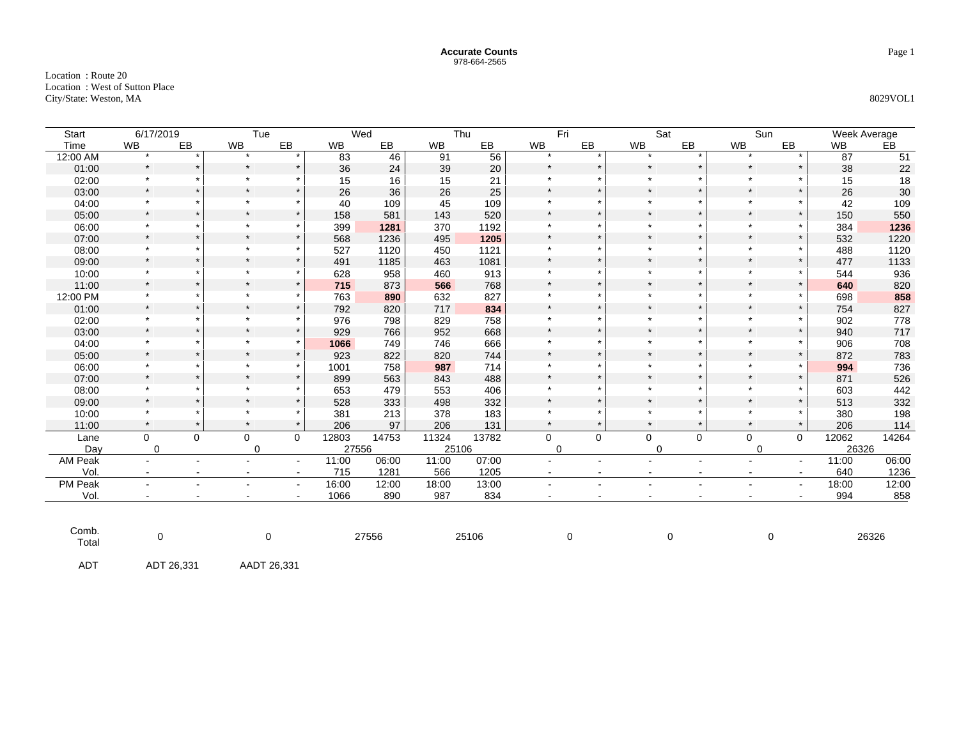Location : Route 20 Location : West of Sutton Place City/State: Weston, MA 8029VOL1

| <b>Start</b>   | 6/17/2019   |                | Tue            |             |           | Wed   |           | Thu   | Fri       |                | Sat            |         | Sun         |                | Week Average |                 |
|----------------|-------------|----------------|----------------|-------------|-----------|-------|-----------|-------|-----------|----------------|----------------|---------|-------------|----------------|--------------|-----------------|
| Time           | WB          | EB             | <b>WB</b>      | EB          | <b>WB</b> | EB    | <b>WB</b> | EB    | <b>WB</b> | EB             | WB             | EB      | <b>WB</b>   | EB             | <b>WB</b>    | EB              |
| 12:00 AM       | $\star$     |                | $\bullet$      | $\star$     | 83        | 46    | 91        | 56    | $\star$   | $\star$        |                |         | $\star$     | $\Phi$         | 87           | $\overline{51}$ |
| 01:00          | $\star$     |                | $\star$        | $\star$     | 36        | 24    | 39        | 20    | $\star$   | $\star$        | $\star$        |         | $\star$     | $\star$        | 38           | 22              |
| 02:00          | $\star$     |                | $\star$        | $\star$     | 15        | 16    | 15        | 21    | $\star$   | $\star$        | $\star$        |         | $\star$     |                | 15           | 18              |
| 03:00          | $\star$     |                | $\star$        | $\star$     | 26        | 36    | 26        | 25    | $\star$   | $\star$        |                |         | $\star$     |                | 26           | $30\,$          |
| 04:00          | $\star$     |                | $\star$        | $\star$     | 40        | 109   | 45        | 109   | $\star$   | $\star$        |                |         | $\star$     | $\star$        | 42           | 109             |
| 05:00          | $\star$     |                | $\star$        | $\star$     | 158       | 581   | 143       | 520   | $\star$   | $\star$        |                |         | $\star$     | $\star$        | 150          | 550             |
| 06:00          | $\star$     |                | $\star$        | $\star$     | 399       | 1281  | 370       | 1192  | $\star$   | $\star$        |                |         | $\star$     | $\star$        | 384          | 1236            |
| 07:00          | $\star$     |                | $\star$        | $\star$     | 568       | 1236  | 495       | 1205  | $\star$   | $\star$        |                |         | $\star$     | $\star$        | 532          | 1220            |
| 08:00          | $\star$     |                | $\star$        | $\star$     | 527       | 1120  | 450       | 1121  | $\star$   | $\star$        | $\star$        |         | $\star$     | $\star$        | 488          | 1120            |
| 09:00          | $\star$     | $\star$        | $\star$        | $\star$     | 491       | 1185  | 463       | 1081  | $\star$   | $\star$        |                |         | $\star$     | $\star$        | 477          | 1133            |
| 10:00          | $\star$     |                | $\star$        |             | 628       | 958   | 460       | 913   | $\star$   | $\star$        | $\star$        |         | $\star$     | $\star$        | 544          | 936             |
| 11:00          | $\star$     | $\star$        | $\star$        | $\star$     | 715       | 873   | 566       | 768   | $\star$   | $\star$        |                |         | $\star$     | $\star$        | 640          | 820             |
| 12:00 PM       | $\star$     |                | $\star$        | $\star$     | 763       | 890   | 632       | 827   | $\star$   | $\star$        | $\star$        |         | $\star$     | $\star$        | 698          | 858             |
| 01:00          | $\star$     | $\star$        | $\star$        | $\star$     | 792       | 820   | 717       | 834   | $\star$   | $\star$        |                |         | $\star$     | $\star$        | 754          | 827             |
| 02:00          | $\star$     |                | $\star$        | $\star$     | 976       | 798   | 829       | 758   | $\star$   |                |                |         | $\star$     | $\star$        | 902          | 778             |
| 03:00          | $\star$     | $\star$        | $\star$        | $\star$     | 929       | 766   | 952       | 668   | $\star$   | $\star$        | $\star$        |         | $\star$     | $\star$        | 940          | 717             |
| 04:00          | $\star$     |                | $\star$        | $\ast$      | 1066      | 749   | 746       | 666   | $\star$   | $\star$        |                |         | $\star$     | $\star$        | 906          | 708             |
| 05:00          | $\star$     | $\star$        | $\star$        | $\star$     | 923       | 822   | 820       | 744   | $\star$   | $\star$        | $\star$        | $\star$ | $\star$     | $\star$        | 872          | 783             |
| 06:00          | $\star$     |                | $\star$        | $\star$     | 1001      | 758   | 987       | 714   | $\star$   | $\star$        |                |         | $\star$     |                | 994          | 736             |
| 07:00          | $\star$     | $\star$        | $\star$        | $\star$     | 899       | 563   | 843       | 488   | $\star$   | $\star$        | $\star$        | $\star$ | $\star$     | $\star$        | 871          | 526             |
| 08:00          | $\star$     |                | $\star$        | $\star$     | 653       | 479   | 553       | 406   | $\star$   | $\star$        | $\star$        |         | $\star$     |                | 603          | 442             |
| 09:00          | $\star$     |                | $\star$        | $\star$     | 528       | 333   | 498       | 332   | $\star$   | $\star$        | $\star$        |         | $\star$     | $\star$        | 513          | 332             |
| 10:00          | $\star$     |                | $\star$        | $\ast$      | 381       | 213   | 378       | 183   | $\star$   | $\star$        | $\star$        | $\star$ | $\star$     | $\star$        | 380          | 198             |
| 11:00          | $\star$     | $\star$        | $\star$        | $\star$     | 206       | 97    | 206       | 131   | $\star$   | $\star$        | $\star$        | $\star$ | $\star$     | $\star$        | 206          | 114             |
| Lane           | $\mathbf 0$ | $\Omega$       | 0              | $\mathbf 0$ | 12803     | 14753 | 11324     | 13782 | 0         | 0              | 0              | 0       | $\mathbf 0$ | $\mathbf 0$    | 12062        | 14264           |
| Day            | $\mathbf 0$ |                | $\mathbf 0$    |             | 27556     |       | 25106     |       | $\Omega$  |                | $\mathbf 0$    |         | $\mathbf 0$ |                | 26326        |                 |
| AM Peak        | $\sim$      | $\sim$         | $\sim$         | $\sim$      | 11:00     | 06:00 | 11:00     | 07:00 |           |                |                | ٠       | $\sim$      | $\sim$         | 11:00        | 06:00           |
| Vol.           | $\sim$      | $\sim$         | $\blacksquare$ | $\sim$      | 715       | 1281  | 566       | 1205  | $\sim$    | $\blacksquare$ | $\blacksquare$ | $\sim$  | $\sim$      | $\sim$         | 640          | 1236            |
| PM Peak        |             | $\blacksquare$ | $\blacksquare$ | $\sim$      | 16:00     | 12:00 | 18:00     | 13:00 | $\sim$    |                |                | ٠       | $\sim$      | $\blacksquare$ | 18:00        | 12:00           |
| Vol.           | $\sim$      | $\sim$         | $\blacksquare$ | $\sim$      | 1066      | 890   | 987       | 834   | $\sim$    | $\overline{a}$ | $\sim$         | $\sim$  | $\sim$      | $\sim$         | 994          | 858             |
| Comb.<br>Total | $\mathbf 0$ |                | $\mathbf 0$    |             | 27556     |       |           | 25106 |           | 0              | 0              |         |             | 0              |              | 26326           |
| <b>ADT</b>     | ADT 26,331  |                | AADT 26,331    |             |           |       |           |       |           |                |                |         |             |                |              |                 |

Page 1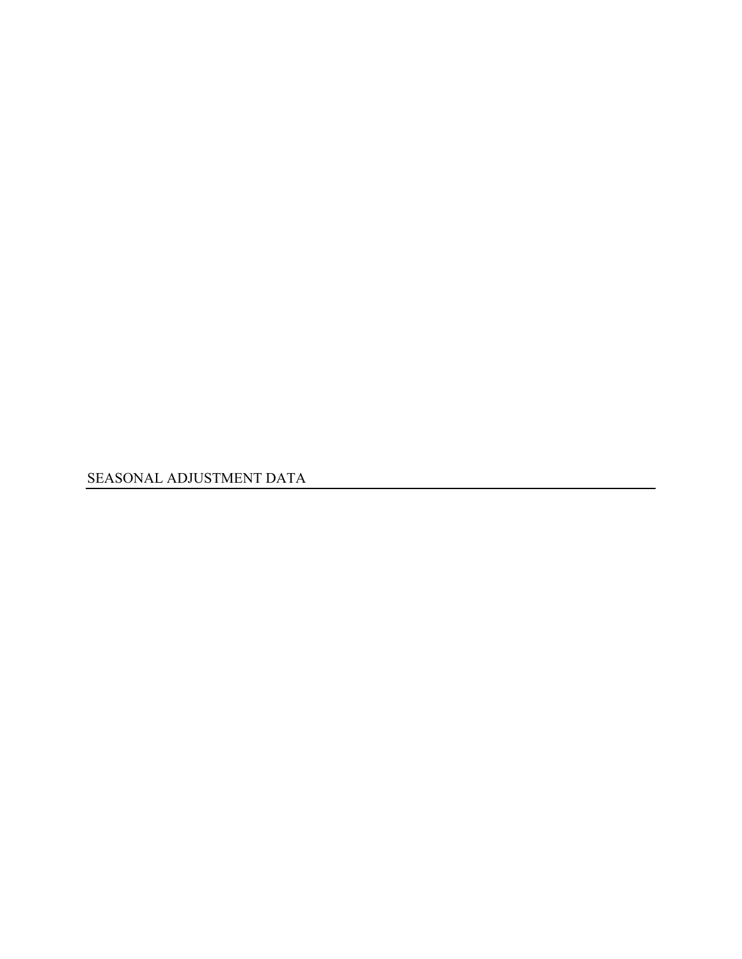SEASONAL ADJUSTMENT DATA